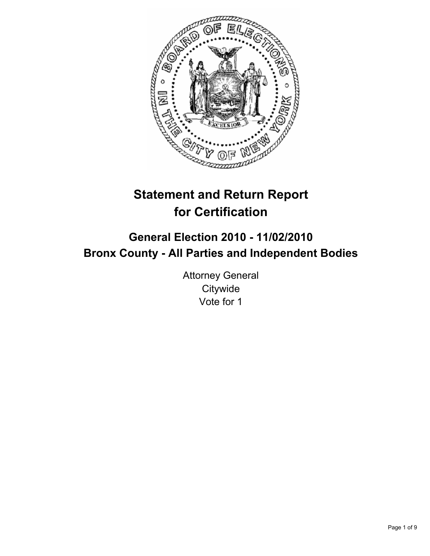

# **Statement and Return Report for Certification**

## **General Election 2010 - 11/02/2010 Bronx County - All Parties and Independent Bodies**

Attorney General **Citywide** Vote for 1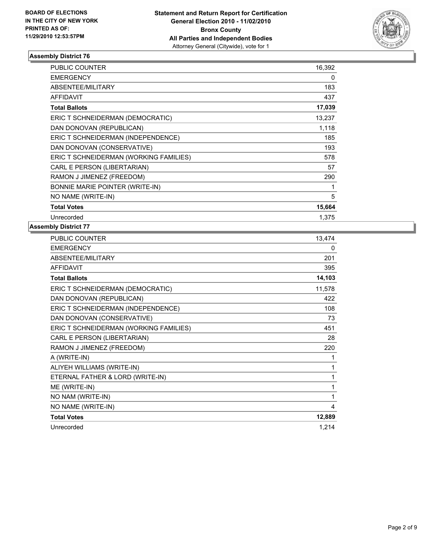

| PUBLIC COUNTER                         | 16,392 |
|----------------------------------------|--------|
| <b>EMERGENCY</b>                       | 0      |
| ABSENTEE/MILITARY                      | 183    |
| <b>AFFIDAVIT</b>                       | 437    |
| <b>Total Ballots</b>                   | 17,039 |
| ERIC T SCHNEIDERMAN (DEMOCRATIC)       | 13,237 |
| DAN DONOVAN (REPUBLICAN)               | 1,118  |
| ERIC T SCHNEIDERMAN (INDEPENDENCE)     | 185    |
| DAN DONOVAN (CONSERVATIVE)             | 193    |
| ERIC T SCHNEIDERMAN (WORKING FAMILIES) | 578    |
| CARL E PERSON (LIBERTARIAN)            | 57     |
| RAMON J JIMENEZ (FREEDOM)              | 290    |
| BONNIE MARIE POINTER (WRITE-IN)        | 1      |
| NO NAME (WRITE-IN)                     | 5      |
| <b>Total Votes</b>                     | 15,664 |
| Unrecorded                             | 1,375  |

| <b>PUBLIC COUNTER</b>                  | 13,474 |
|----------------------------------------|--------|
| <b>EMERGENCY</b>                       | 0      |
| ABSENTEE/MILITARY                      | 201    |
| <b>AFFIDAVIT</b>                       | 395    |
| <b>Total Ballots</b>                   | 14,103 |
| ERIC T SCHNEIDERMAN (DEMOCRATIC)       | 11,578 |
| DAN DONOVAN (REPUBLICAN)               | 422    |
| ERIC T SCHNEIDERMAN (INDEPENDENCE)     | 108    |
| DAN DONOVAN (CONSERVATIVE)             | 73     |
| ERIC T SCHNEIDERMAN (WORKING FAMILIES) | 451    |
| CARL E PERSON (LIBERTARIAN)            | 28     |
| RAMON J JIMENEZ (FREEDOM)              | 220    |
| A (WRITE-IN)                           | 1      |
| ALIYEH WILLIAMS (WRITE-IN)             | 1      |
| ETERNAL FATHER & LORD (WRITE-IN)       | 1      |
| ME (WRITE-IN)                          | 1      |
| NO NAM (WRITE-IN)                      | 1      |
| NO NAME (WRITE-IN)                     | 4      |
| <b>Total Votes</b>                     | 12,889 |
| Unrecorded                             | 1,214  |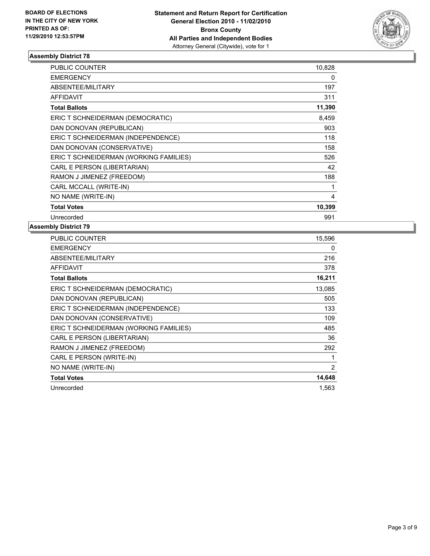

| <b>PUBLIC COUNTER</b>                  | 10,828 |
|----------------------------------------|--------|
| <b>EMERGENCY</b>                       | 0      |
| <b>ABSENTEE/MILITARY</b>               | 197    |
| <b>AFFIDAVIT</b>                       | 311    |
| <b>Total Ballots</b>                   | 11,390 |
| ERIC T SCHNEIDERMAN (DEMOCRATIC)       | 8,459  |
| DAN DONOVAN (REPUBLICAN)               | 903    |
| ERIC T SCHNEIDERMAN (INDEPENDENCE)     | 118    |
| DAN DONOVAN (CONSERVATIVE)             | 158    |
| ERIC T SCHNEIDERMAN (WORKING FAMILIES) | 526    |
| CARL E PERSON (LIBERTARIAN)            | 42     |
| RAMON J JIMENEZ (FREEDOM)              | 188    |
| CARL MCCALL (WRITE-IN)                 | 1      |
| NO NAME (WRITE-IN)                     | 4      |
| <b>Total Votes</b>                     | 10,399 |
| Unrecorded                             | 991    |

| <b>PUBLIC COUNTER</b>                  | 15,596 |
|----------------------------------------|--------|
| <b>EMERGENCY</b>                       | 0      |
| ABSENTEE/MILITARY                      | 216    |
| AFFIDAVIT                              | 378    |
| <b>Total Ballots</b>                   | 16,211 |
| ERIC T SCHNEIDERMAN (DEMOCRATIC)       | 13,085 |
| DAN DONOVAN (REPUBLICAN)               | 505    |
| ERIC T SCHNEIDERMAN (INDEPENDENCE)     | 133    |
| DAN DONOVAN (CONSERVATIVE)             | 109    |
| ERIC T SCHNEIDERMAN (WORKING FAMILIES) | 485    |
| CARL E PERSON (LIBERTARIAN)            | 36     |
| RAMON J JIMENEZ (FREEDOM)              | 292    |
| CARL E PERSON (WRITE-IN)               | 1      |
| NO NAME (WRITE-IN)                     | 2      |
| <b>Total Votes</b>                     | 14,648 |
| Unrecorded                             | 1,563  |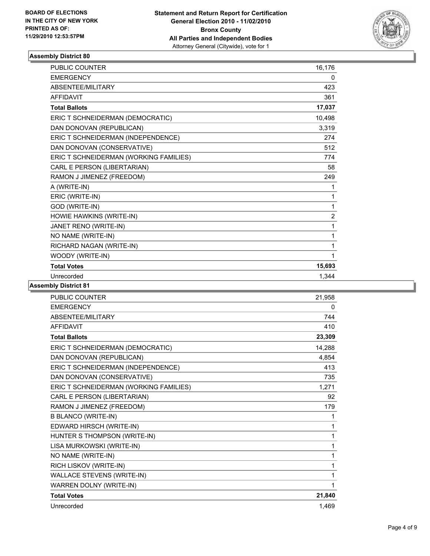

| <b>PUBLIC COUNTER</b>                  | 16,176         |
|----------------------------------------|----------------|
| <b>EMERGENCY</b>                       | 0              |
| <b>ABSENTEE/MILITARY</b>               | 423            |
| <b>AFFIDAVIT</b>                       | 361            |
| <b>Total Ballots</b>                   | 17,037         |
| ERIC T SCHNEIDERMAN (DEMOCRATIC)       | 10,498         |
| DAN DONOVAN (REPUBLICAN)               | 3,319          |
| ERIC T SCHNEIDERMAN (INDEPENDENCE)     | 274            |
| DAN DONOVAN (CONSERVATIVE)             | 512            |
| ERIC T SCHNEIDERMAN (WORKING FAMILIES) | 774            |
| CARL E PERSON (LIBERTARIAN)            | 58             |
| RAMON J JIMENEZ (FREEDOM)              | 249            |
| A (WRITE-IN)                           | 1              |
| ERIC (WRITE-IN)                        | 1              |
| GOD (WRITE-IN)                         | 1              |
| HOWIE HAWKINS (WRITE-IN)               | $\overline{2}$ |
| JANET RENO (WRITE-IN)                  | 1              |
| NO NAME (WRITE-IN)                     | 1              |
| RICHARD NAGAN (WRITE-IN)               | 1              |
| WOODY (WRITE-IN)                       | 1              |
| <b>Total Votes</b>                     | 15,693         |
| Unrecorded                             | 1.344          |

| <b>PUBLIC COUNTER</b>                  | 21,958 |
|----------------------------------------|--------|
| <b>EMERGENCY</b>                       | 0      |
| ABSENTEE/MILITARY                      | 744    |
| <b>AFFIDAVIT</b>                       | 410    |
| <b>Total Ballots</b>                   | 23,309 |
| ERIC T SCHNEIDERMAN (DEMOCRATIC)       | 14,288 |
| DAN DONOVAN (REPUBLICAN)               | 4,854  |
| ERIC T SCHNEIDERMAN (INDEPENDENCE)     | 413    |
| DAN DONOVAN (CONSERVATIVE)             | 735    |
| ERIC T SCHNEIDERMAN (WORKING FAMILIES) | 1,271  |
| CARL E PERSON (LIBERTARIAN)            | 92     |
| RAMON J JIMENEZ (FREEDOM)              | 179    |
| <b>B BLANCO (WRITE-IN)</b>             | 1      |
| EDWARD HIRSCH (WRITE-IN)               | 1      |
| HUNTER S THOMPSON (WRITE-IN)           | 1      |
| LISA MURKOWSKI (WRITE-IN)              | 1      |
| NO NAME (WRITE-IN)                     | 1      |
| RICH LISKOV (WRITE-IN)                 | 1      |
| WALLACE STEVENS (WRITE-IN)             | 1      |
| WARREN DOLNY (WRITE-IN)                | 1      |
| <b>Total Votes</b>                     | 21,840 |
| Unrecorded                             | 1.469  |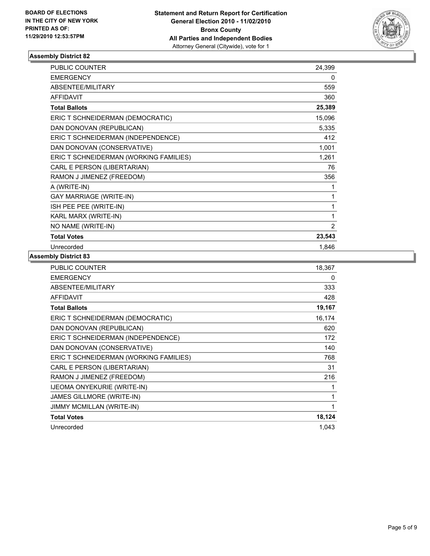

| PUBLIC COUNTER                         | 24,399         |
|----------------------------------------|----------------|
| <b>EMERGENCY</b>                       | 0              |
| ABSENTEE/MILITARY                      | 559            |
| <b>AFFIDAVIT</b>                       | 360            |
| <b>Total Ballots</b>                   | 25,389         |
| ERIC T SCHNEIDERMAN (DEMOCRATIC)       | 15,096         |
| DAN DONOVAN (REPUBLICAN)               | 5,335          |
| ERIC T SCHNEIDERMAN (INDEPENDENCE)     | 412            |
| DAN DONOVAN (CONSERVATIVE)             | 1,001          |
| ERIC T SCHNEIDERMAN (WORKING FAMILIES) | 1,261          |
| CARL E PERSON (LIBERTARIAN)            | 76             |
| RAMON J JIMENEZ (FREEDOM)              | 356            |
| A (WRITE-IN)                           | 1              |
| <b>GAY MARRIAGE (WRITE-IN)</b>         | 1              |
| ISH PEE PEE (WRITE-IN)                 | 1              |
| KARL MARX (WRITE-IN)                   | 1              |
| NO NAME (WRITE-IN)                     | $\overline{2}$ |
| <b>Total Votes</b>                     | 23,543         |
| Unrecorded                             | 1,846          |

| PUBLIC COUNTER                         | 18,367 |
|----------------------------------------|--------|
| <b>EMERGENCY</b>                       | 0      |
| ABSENTEE/MILITARY                      | 333    |
| <b>AFFIDAVIT</b>                       | 428    |
| <b>Total Ballots</b>                   | 19,167 |
| ERIC T SCHNEIDERMAN (DEMOCRATIC)       | 16,174 |
| DAN DONOVAN (REPUBLICAN)               | 620    |
| ERIC T SCHNEIDERMAN (INDEPENDENCE)     | 172    |
| DAN DONOVAN (CONSERVATIVE)             | 140    |
| ERIC T SCHNEIDERMAN (WORKING FAMILIES) | 768    |
| CARL E PERSON (LIBERTARIAN)            | 31     |
| RAMON J JIMENEZ (FREEDOM)              | 216    |
| <b>IJEOMA ONYEKURIE (WRITE-IN)</b>     | 1      |
| JAMES GILLMORE (WRITE-IN)              | 1      |
| JIMMY MCMILLAN (WRITE-IN)              | 1      |
| <b>Total Votes</b>                     | 18,124 |
| Unrecorded                             | 1,043  |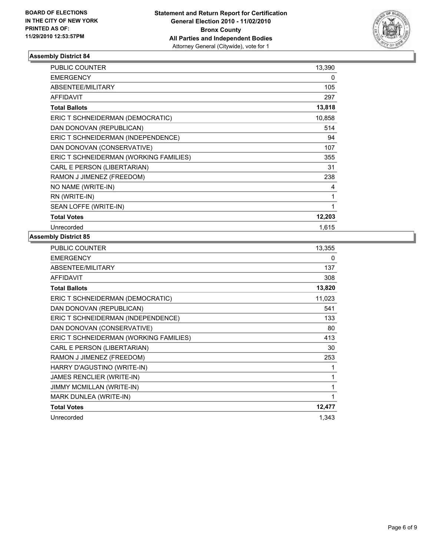

| <b>PUBLIC COUNTER</b>                  | 13,390 |
|----------------------------------------|--------|
| <b>EMERGENCY</b>                       | 0      |
| ABSENTEE/MILITARY                      | 105    |
| <b>AFFIDAVIT</b>                       | 297    |
| <b>Total Ballots</b>                   | 13,818 |
| ERIC T SCHNEIDERMAN (DEMOCRATIC)       | 10,858 |
| DAN DONOVAN (REPUBLICAN)               | 514    |
| ERIC T SCHNEIDERMAN (INDEPENDENCE)     | 94     |
| DAN DONOVAN (CONSERVATIVE)             | 107    |
| ERIC T SCHNEIDERMAN (WORKING FAMILIES) | 355    |
| CARL E PERSON (LIBERTARIAN)            | 31     |
| RAMON J JIMENEZ (FREEDOM)              | 238    |
| NO NAME (WRITE-IN)                     | 4      |
| RN (WRITE-IN)                          | 1      |
| SEAN LOFFE (WRITE-IN)                  | 1      |
| <b>Total Votes</b>                     | 12,203 |
| Unrecorded                             | 1,615  |

| PUBLIC COUNTER                         | 13,355 |
|----------------------------------------|--------|
| <b>EMERGENCY</b>                       | 0      |
| ABSENTEE/MILITARY                      | 137    |
| <b>AFFIDAVIT</b>                       | 308    |
| <b>Total Ballots</b>                   | 13,820 |
| ERIC T SCHNEIDERMAN (DEMOCRATIC)       | 11,023 |
| DAN DONOVAN (REPUBLICAN)               | 541    |
| ERIC T SCHNEIDERMAN (INDEPENDENCE)     | 133    |
| DAN DONOVAN (CONSERVATIVE)             | 80     |
| ERIC T SCHNEIDERMAN (WORKING FAMILIES) | 413    |
| CARL E PERSON (LIBERTARIAN)            | 30     |
| RAMON J JIMENEZ (FREEDOM)              | 253    |
| HARRY D'AGUSTINO (WRITE-IN)            | 1      |
| JAMES RENCLIER (WRITE-IN)              | 1      |
| JIMMY MCMILLAN (WRITE-IN)              | 1      |
| MARK DUNLEA (WRITE-IN)                 | 1      |
| <b>Total Votes</b>                     | 12,477 |
| Unrecorded                             | 1,343  |
|                                        |        |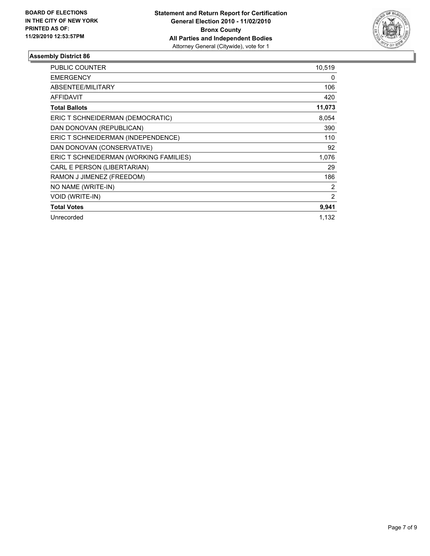

| <b>PUBLIC COUNTER</b>                  | 10,519 |
|----------------------------------------|--------|
| <b>EMERGENCY</b>                       | 0      |
| ABSENTEE/MILITARY                      | 106    |
| <b>AFFIDAVIT</b>                       | 420    |
| <b>Total Ballots</b>                   | 11,073 |
| ERIC T SCHNEIDERMAN (DEMOCRATIC)       | 8,054  |
| DAN DONOVAN (REPUBLICAN)               | 390    |
| ERIC T SCHNEIDERMAN (INDEPENDENCE)     | 110    |
| DAN DONOVAN (CONSERVATIVE)             | 92     |
| ERIC T SCHNEIDERMAN (WORKING FAMILIES) | 1,076  |
| CARL E PERSON (LIBERTARIAN)            | 29     |
| RAMON J JIMENEZ (FREEDOM)              | 186    |
| NO NAME (WRITE-IN)                     | 2      |
| VOID (WRITE-IN)                        | 2      |
| <b>Total Votes</b>                     | 9,941  |
| Unrecorded                             | 1.132  |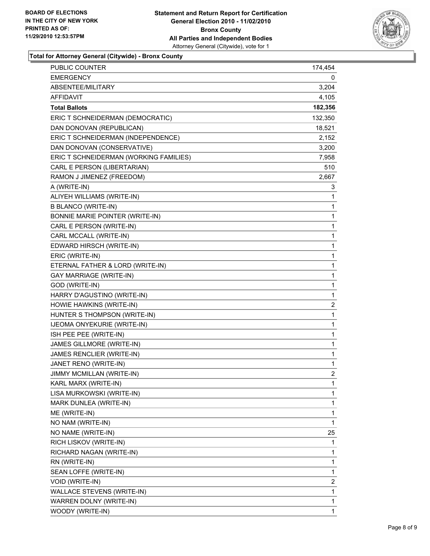

#### **Total for Attorney General (Citywide) - Bronx County**

| <b>PUBLIC COUNTER</b>                  | 174,454      |
|----------------------------------------|--------------|
| <b>EMERGENCY</b>                       | 0            |
| ABSENTEE/MILITARY                      | 3,204        |
| AFFIDAVIT                              | 4,105        |
| <b>Total Ballots</b>                   | 182,356      |
| ERIC T SCHNEIDERMAN (DEMOCRATIC)       | 132,350      |
| DAN DONOVAN (REPUBLICAN)               | 18,521       |
| ERIC T SCHNEIDERMAN (INDEPENDENCE)     | 2,152        |
| DAN DONOVAN (CONSERVATIVE)             | 3,200        |
| ERIC T SCHNEIDERMAN (WORKING FAMILIES) | 7,958        |
| CARL E PERSON (LIBERTARIAN)            | 510          |
| RAMON J JIMENEZ (FREEDOM)              | 2,667        |
| A (WRITE-IN)                           | 3            |
| ALIYEH WILLIAMS (WRITE-IN)             | 1            |
| <b>B BLANCO (WRITE-IN)</b>             | 1            |
| BONNIE MARIE POINTER (WRITE-IN)        | 1            |
| CARL E PERSON (WRITE-IN)               | 1            |
| CARL MCCALL (WRITE-IN)                 | 1            |
| EDWARD HIRSCH (WRITE-IN)               | 1            |
| ERIC (WRITE-IN)                        | 1            |
| ETERNAL FATHER & LORD (WRITE-IN)       | $\mathbf{1}$ |
| <b>GAY MARRIAGE (WRITE-IN)</b>         | 1            |
| GOD (WRITE-IN)                         | 1            |
| HARRY D'AGUSTINO (WRITE-IN)            | 1            |
| HOWIE HAWKINS (WRITE-IN)               | 2            |
| HUNTER S THOMPSON (WRITE-IN)           | 1            |
| IJEOMA ONYEKURIE (WRITE-IN)            | 1            |
| ISH PEE PEE (WRITE-IN)                 | 1            |
| JAMES GILLMORE (WRITE-IN)              | 1            |
| JAMES RENCLIER (WRITE-IN)              | $\mathbf{1}$ |
| JANET RENO (WRITE-IN)                  | 1            |
| JIMMY MCMILLAN (WRITE-IN)              | 2            |
| KARL MARX (WRITE-IN)                   | 1            |
| LISA MURKOWSKI (WRITE-IN)              | 1            |
| MARK DUNLEA (WRITE-IN)                 | 1            |
| ME (WRITE-IN)                          | 1            |
| NO NAM (WRITE-IN)                      | 1            |
| NO NAME (WRITE-IN)                     | 25           |
| RICH LISKOV (WRITE-IN)                 | 1            |
| RICHARD NAGAN (WRITE-IN)               | 1            |
| RN (WRITE-IN)                          | 1            |
| SEAN LOFFE (WRITE-IN)                  | 1            |
| VOID (WRITE-IN)                        | 2            |
| WALLACE STEVENS (WRITE-IN)             | 1            |
| WARREN DOLNY (WRITE-IN)                | 1            |
| WOODY (WRITE-IN)                       | 1            |